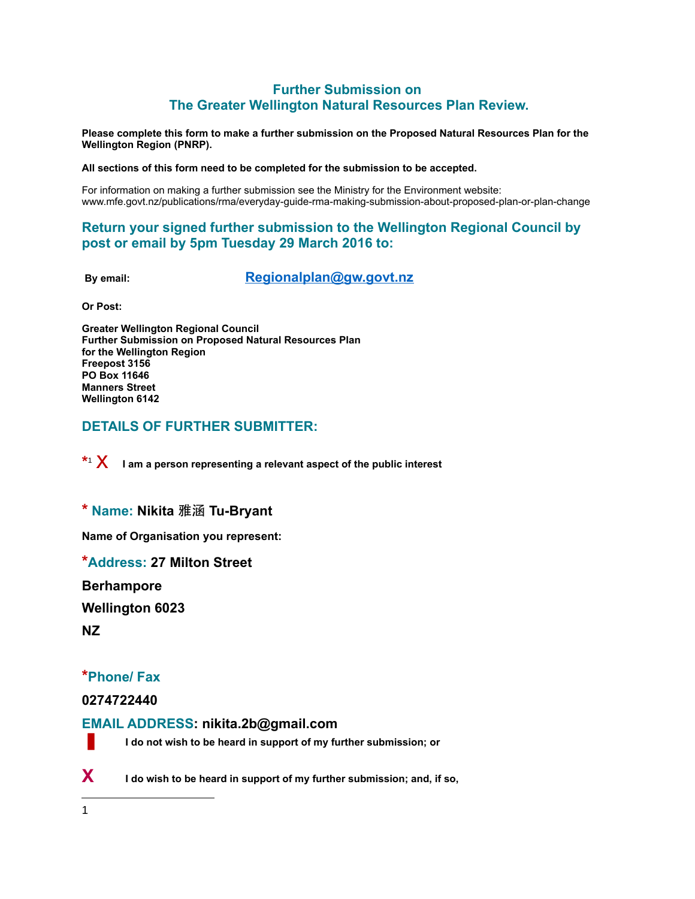## **Further Submission on The Greater Wellington Natural Resources Plan Review.**

**Please complete this form to make a further submission on the Proposed Natural Resources Plan for the Wellington Region (PNRP).**

#### **All sections of this form need to be completed for the submission to be accepted.**

For information on making a further submission see the Ministry for the Environment website: www.mfe.govt.nz/publications/rma/everyday-guide-rma-making-submission-about-proposed-plan-or-plan-change

#### **Return your signed further submission to the Wellington Regional Council by post or email by 5pm Tuesday 29 March 2016 to:**

 **By email: [Regionalplan@gw.govt.nz](mailto:Regionalplan@gw.govt.nz)**

**Or Post:**

**Greater Wellington Regional Council Further Submission on Proposed Natural Resources Plan for the Wellington Region Freepost 3156 PO Box 11646 Manners Street Wellington 6142**

### **DETAILS OF FURTHER SUBMITTER:**

**\*** [1](#page-0-0) X **I am a person representing a relevant aspect of the public interest**

**\* Name: Nikita** 雅涵 **Tu-Bryant**

**Name of Organisation you represent:**

**\*Address: 27 Milton Street**

**Berhampore**

**Wellington 6023**

**NZ**

## **\*Phone/ Fax**

**0274722440**

#### **EMAIL ADDRESS: nikita.2b@gmail.com**

**l I** do not wish to be heard in support of my further submission; or

**X I do wish to be heard in support of my further submission; and, if so,**

<span id="page-0-0"></span>1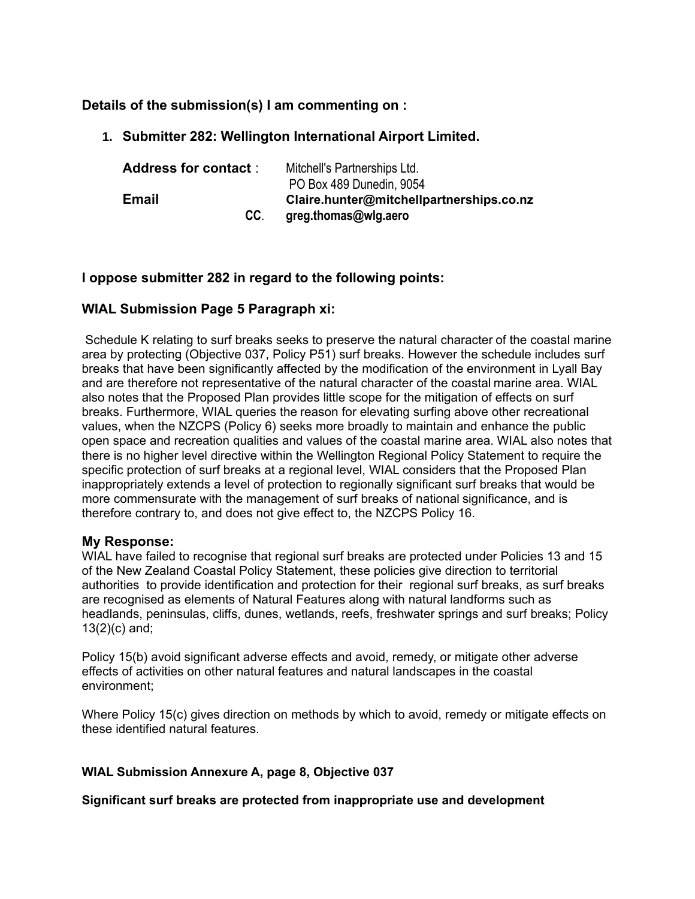## **Details of the submission(s) I am commenting on :**

## **1. Submitter 282: Wellington International Airport Limited.**

| <b>Address for contact:</b> | Mitchell's Partnerships Ltd.             |
|-----------------------------|------------------------------------------|
|                             | PO Box 489 Dunedin, 9054                 |
| <b>Email</b>                | Claire.hunter@mitchellpartnerships.co.nz |
| CC.                         | greg.thomas@wlg.aero                     |

# **I oppose submitter 282 in regard to the following points:**

## **WIAL Submission Page 5 Paragraph xi:**

Schedule K relating to surf breaks seeks to preserve the natural character of the coastal marine area by protecting (Objective 037, Policy P51) surf breaks. However the schedule includes surf breaks that have been significantly affected by the modification of the environment in Lyall Bay and are therefore not representative of the natural character of the coastal marine area. WIAL also notes that the Proposed Plan provides little scope for the mitigation of effects on surf breaks. Furthermore, WIAL queries the reason for elevating surfing above other recreational values, when the NZCPS (Policy 6) seeks more broadly to maintain and enhance the public open space and recreation qualities and values of the coastal marine area. WIAL also notes that there is no higher level directive within the Wellington Regional Policy Statement to require the specific protection of surf breaks at a regional level, WIAL considers that the Proposed Plan inappropriately extends a level of protection to regionally significant surf breaks that would be more commensurate with the management of surf breaks of national significance, and is therefore contrary to, and does not give effect to, the NZCPS Policy 16.

## **My Response:**

WIAL have failed to recognise that regional surf breaks are protected under Policies 13 and 15 of the New Zealand Coastal Policy Statement, these policies give direction to territorial authorities to provide identification and protection for their regional surf breaks, as surf breaks are recognised as elements of Natural Features along with natural landforms such as headlands, peninsulas, cliffs, dunes, wetlands, reefs, freshwater springs and surf breaks; Policy 13(2)(c) and;

Policy 15(b) avoid significant adverse effects and avoid, remedy, or mitigate other adverse effects of activities on other natural features and natural landscapes in the coastal environment;

Where Policy 15(c) gives direction on methods by which to avoid, remedy or mitigate effects on these identified natural features.

## **WIAL Submission Annexure A, page 8, Objective 037**

**Significant surf breaks are protected from inappropriate use and development**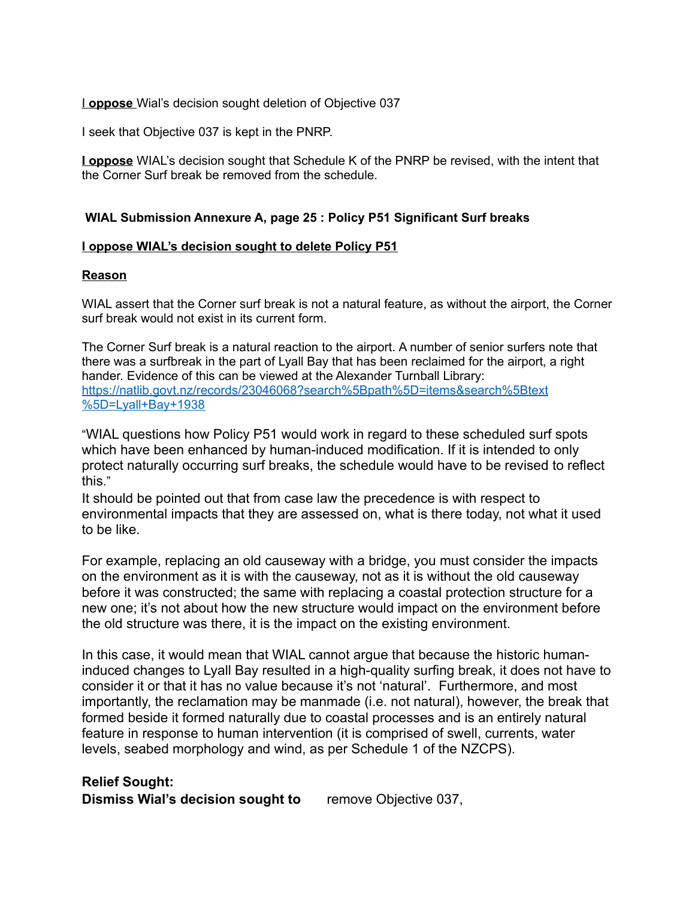I **oppose** Wial's decision sought deletion of Objective 037

I seek that Objective 037 is kept in the PNRP.

**I oppose** WIAL's decision sought that Schedule K of the PNRP be revised, with the intent that the Corner Surf break be removed from the schedule.

## **WIAL Submission Annexure A, page 25 : Policy P51 Significant Surf breaks**

### **I oppose WIAL's decision sought to delete Policy P51**

#### **Reason**

WIAL assert that the Corner surf break is not a natural feature, as without the airport, the Corner surf break would not exist in its current form.

The Corner Surf break is a natural reaction to the airport. A number of senior surfers note that there was a surfbreak in the part of Lyall Bay that has been reclaimed for the airport, a right hander. Evidence of this can be viewed at the Alexander Turnball Library: [https://natlib.govt.nz/records/23046068?search%5Bpath%5D=items&search%5Btext](https://natlib.govt.nz/records/23046068?search%5Bpath%5D=items&search%5Btext%5D=Lyall+Bay+1938) [%5D=Lyall+Bay+1938](https://natlib.govt.nz/records/23046068?search%5Bpath%5D=items&search%5Btext%5D=Lyall+Bay+1938)

"WIAL questions how Policy P51 would work in regard to these scheduled surf spots which have been enhanced by human-induced modification. If it is intended to only protect naturally occurring surf breaks, the schedule would have to be revised to reflect this."

It should be pointed out that from case law the precedence is with respect to environmental impacts that they are assessed on, what is there today, not what it used to be like.

For example, replacing an old causeway with a bridge, you must consider the impacts on the environment as it is with the causeway, not as it is without the old causeway before it was constructed; the same with replacing a coastal protection structure for a new one; it's not about how the new structure would impact on the environment before the old structure was there, it is the impact on the existing environment.

In this case, it would mean that WIAL cannot argue that because the historic humaninduced changes to Lyall Bay resulted in a high-quality surfing break, it does not have to consider it or that it has no value because it's not 'natural'. Furthermore, and most importantly, the reclamation may be manmade (i.e. not natural), however, the break that formed beside it formed naturally due to coastal processes and is an entirely natural feature in response to human intervention (it is comprised of swell, currents, water levels, seabed morphology and wind, as per Schedule 1 of the NZCPS).

## **Relief Sought: Dismiss Wial's decision sought to** remove Objective 037,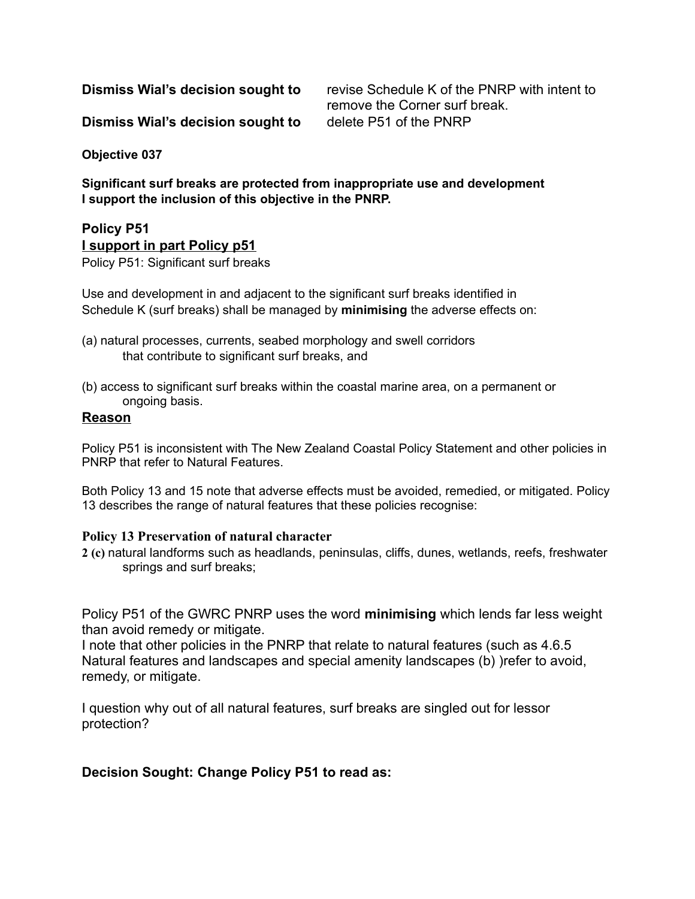**Dismiss Wial's decision sought to** revise Schedule K of the PNRP with intent to remove the Corner surf break.

**Dismiss Wial's decision sought to** delete P51 of the PNRP

**Objective 037** 

**Significant surf breaks are protected from inappropriate use and development I support the inclusion of this objective in the PNRP.**

## **Policy P51**

**I support in part Policy p51**

Policy P51: Significant surf breaks

Use and development in and adjacent to the significant surf breaks identified in Schedule K (surf breaks) shall be managed by **minimising** the adverse effects on:

- (a) natural processes, currents, seabed morphology and swell corridors that contribute to significant surf breaks, and
- (b) access to significant surf breaks within the coastal marine area, on a permanent or ongoing basis.

### **Reason**

Policy P51 is inconsistent with The New Zealand Coastal Policy Statement and other policies in PNRP that refer to Natural Features.

Both Policy 13 and 15 note that adverse effects must be avoided, remedied, or mitigated. Policy 13 describes the range of natural features that these policies recognise:

### **Policy 13 Preservation of natural character**

**2 (c)** natural landforms such as headlands, peninsulas, cliffs, dunes, wetlands, reefs, freshwater springs and surf breaks;

Policy P51 of the GWRC PNRP uses the word **minimising** which lends far less weight than avoid remedy or mitigate.

I note that other policies in the PNRP that relate to natural features (such as 4.6.5 Natural features and landscapes and special amenity landscapes (b) )refer to avoid, remedy, or mitigate.

I question why out of all natural features, surf breaks are singled out for lessor protection?

## **Decision Sought: Change Policy P51 to read as:**